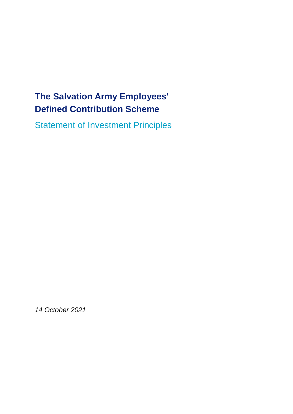# **The Salvation Army Employees' Defined Contribution Scheme**

Statement of Investment Principles

*14 October 2021*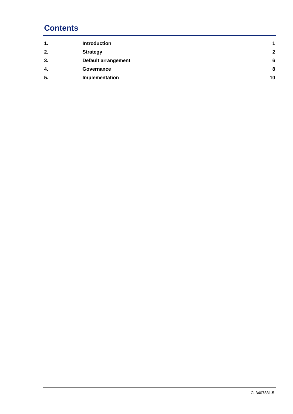# **Contents**

| <b>Introduction</b> | $\blacktriangleleft$                                            |
|---------------------|-----------------------------------------------------------------|
|                     | $\mathbf{2}$                                                    |
|                     | 6                                                               |
| Governance          | 8                                                               |
|                     | 10                                                              |
|                     | <b>Strategy</b><br><b>Default arrangement</b><br>Implementation |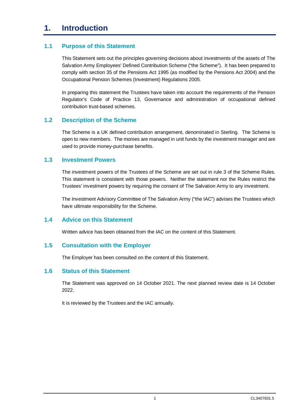# **1. Introduction**

# **1.1 Purpose of this Statement**

This Statement sets out the principles governing decisions about investments of the assets of The Salvation Army Employees' Defined Contribution Scheme ("the Scheme"). It has been prepared to comply with section 35 of the Pensions Act 1995 (as modified by the Pensions Act 2004) and the Occupational Pension Schemes (Investment) Regulations 2005.

In preparing this statement the Trustees have taken into account the requirements of the Pension Regulator's Code of Practice 13, Governance and administration of occupational defined contribution trust-based schemes.

# **1.2 Description of the Scheme**

The Scheme is a UK defined contribution arrangement, denominated in Sterling. The Scheme is open to new members. The monies are managed in unit funds by the investment manager and are used to provide money-purchase benefits.

### **1.3 Investment Powers**

The investment powers of the Trustees of the Scheme are set out in rule 3 of the Scheme Rules. This statement is consistent with those powers. Neither the statement nor the Rules restrict the Trustees' investment powers by requiring the consent of The Salvation Army to any investment.

The Investment Advisory Committee of The Salvation Army ("the IAC") advises the Trustees which have ultimate responsibility for the Scheme.

# **1.4 Advice on this Statement**

Written advice has been obtained from the IAC on the content of this Statement.

#### **1.5 Consultation with the Employer**

The Employer has been consulted on the content of this Statement.

#### **1.6 Status of this Statement**

The Statement was approved on 14 October 2021. The next planned review date is 14 October 2022.

It is reviewed by the Trustees and the IAC annually.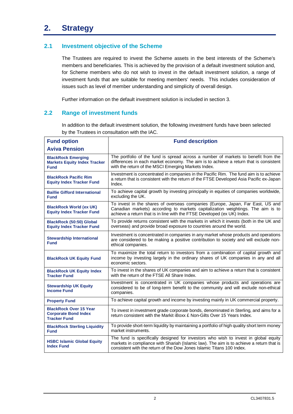# **2.1 Investment objective of the Scheme**

The Trustees are required to invest the Scheme assets in the best interests of the Scheme's members and beneficiaries. This is achieved by the provision of a default investment solution and, for Scheme members who do not wish to invest in the default investment solution, a range of investment funds that are suitable for meeting members' needs. This includes consideration of issues such as level of member understanding and simplicity of overall design.

Further information on the default investment solution is included in section 3.

# **2.2 Range of investment funds**

In addition to the default investment solution, the following investment funds have been selected by the Trustees in consultation with the IAC.

| <b>Fund option</b>                                                                  | <b>Fund description</b>                                                                                                                                                                                                                                  |  |  |
|-------------------------------------------------------------------------------------|----------------------------------------------------------------------------------------------------------------------------------------------------------------------------------------------------------------------------------------------------------|--|--|
| <b>Aviva Pension</b>                                                                |                                                                                                                                                                                                                                                          |  |  |
| <b>BlackRock Emerging</b><br><b>Markets Equity Index Tracker</b><br><b>Fund</b>     | The portfolio of the fund is spread across a number of markets to benefit from the<br>differences in each market economy. The aim is to achieve a return that is consistent<br>with the return of the MSCI Emerging Markets Index.                       |  |  |
| <b>BlackRock Pacific Rim</b><br><b>Equity Index Tracker Fund</b>                    | Investment is concentrated in companies in the Pacific Rim. The fund aim is to achieve<br>a return that is consistent with the return of the FTSE Developed Asia Pacific ex-Japan<br>Index.                                                              |  |  |
| <b>Baillie Gifford International</b><br><b>Fund</b>                                 | To achieve capital growth by investing principally in equities of companies worldwide,<br>excluding the UK.                                                                                                                                              |  |  |
| <b>BlackRock World (ex UK)</b><br><b>Equity Index Tracker Fund</b>                  | To invest in the shares of overseas companies (Europe, Japan, Far East, US and<br>Canadian markets) according to markets capitalization weightings. The aim is to<br>achieve a return that is in line with the FTSE Developed (ex UK) Index.             |  |  |
| <b>BlackRock (50:50) Global</b><br><b>Equity Index Tracker Fund</b>                 | To provide returns consistent with the markets in which it invests (both in the UK and<br>overseas) and provide broad exposure to countries around the world.                                                                                            |  |  |
| <b>Stewardship International</b><br><b>Fund</b>                                     | Investment is concentrated in companies in any market whose products and operations<br>are considered to be making a positive contribution to society and will exclude non-<br>ethical companies.                                                        |  |  |
| <b>BlackRock UK Equity Fund</b>                                                     | To maximize the total return to investors from a combination of capital growth and<br>income by investing largely in the ordinary shares of UK companies in any and all<br>economic sectors.                                                             |  |  |
| <b>BlackRock UK Equity Index</b><br><b>Tracker Fund</b>                             | To invest in the shares of UK companies and aim to achieve a return that is consistent<br>with the return of the FTSE All Share Index.                                                                                                                   |  |  |
| <b>Stewardship UK Equity</b><br><b>Income Fund</b>                                  | Investment is concentrated in UK companies whose products and operations are<br>considered to be of long-term benefit to the community and will exclude non-ethical<br>companies.                                                                        |  |  |
| <b>Property Fund</b>                                                                | To achieve capital growth and income by investing mainly in UK commercial property.                                                                                                                                                                      |  |  |
| <b>BlackRock Over 15 Year</b><br><b>Corporate Bond Index</b><br><b>Tracker Fund</b> | To invest in investment grade corporate bonds, denominated in Sterling, and aims for a<br>return consistent with the Markit iBoxx £ Non-Gilts Over 15 Years Index.                                                                                       |  |  |
| <b>BlackRock Sterling Liquidity</b><br>Fund                                         | To provide short-term liquidity by maintaining a portfolio of high quality short term money<br>market instruments.                                                                                                                                       |  |  |
| <b>HSBC Islamic Global Equity</b><br><b>Index Fund</b>                              | The fund is specifically designed for investors who wish to invest in global equity<br>markets in compliance with Shariah (Islamic law). The aim is to achieve a return that is<br>consistent with the return of the Dow Jones Islamic Titans 100 Index. |  |  |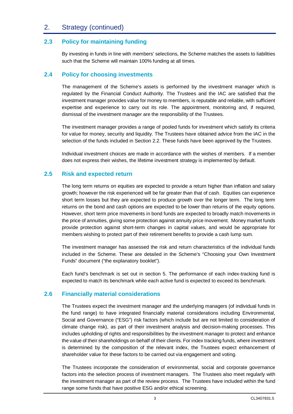# 2. Strategy (continued)

# **2.3 Policy for maintaining funding**

By investing in funds in line with members' selections, the Scheme matches the assets to liabilities such that the Scheme will maintain 100% funding at all times.

## **2.4 Policy for choosing investments**

The management of the Scheme's assets is performed by the investment manager which is regulated by the Financial Conduct Authority. The Trustees and the IAC are satisfied that the investment manager provides value for money to members, is reputable and reliable, with sufficient expertise and experience to carry out its role. The appointment, monitoring and, if required, dismissal of the investment manager are the responsibility of the Trustees.

The investment manager provides a range of pooled funds for investment which satisfy its criteria for value for money, security and liquidity. The Trustees have obtained advice from the IAC in the selection of the funds included in Section 2.2. These funds have been approved by the Trustees.

Individual investment choices are made in accordance with the wishes of members. If a member does not express their wishes, the lifetime investment strategy is implemented by default.

# **2.5 Risk and expected return**

The long term returns on equities are expected to provide a return higher than inflation and salary growth; however the risk experienced will be far greater than that of cash. Equities can experience short term losses but they are expected to produce growth over the longer term. The long term returns on the bond and cash options are expected to be lower than returns of the equity options. However, short term price movements in bond funds are expected to broadly match movements in the price of annuities, giving some protection against annuity price movement. Money market funds provide protection against short-term changes in capital values, and would be appropriate for members wishing to protect part of their retirement benefits to provide a cash lump sum.

The investment manager has assessed the risk and return characteristics of the individual funds included in the Scheme. These are detailed in the Scheme's "Choosing your Own Investment Funds" document ("the explanatory booklet").

Each fund's benchmark is set out in section 5. The performance of each index-tracking fund is expected to match its benchmark while each active fund is expected to exceed its benchmark.

# **2.6 Financially material considerations**

The Trustees expect the investment manager and the underlying managers (of individual funds in the fund range) to have integrated financially material considerations including Environmental, Social and Governance ("ESG") risk factors (which include but are not limited to consideration of climate change risk), as part of their investment analysis and decision-making processes. This includes upholding of rights and responsibilities by the investment manager to protect and enhance the value of their shareholdings on behalf of their clients. For index tracking funds, where investment is determined by the composition of the relevant index, the Trustees expect enhancement of shareholder value for these factors to be carried out via engagement and voting.

The Trustees incorporate the consideration of environmental, social and corporate governance factors into the selection process of investment managers. The Trustees also meet regularly with the investment manager as part of the review process. The Trustees have included within the fund range some funds that have positive ESG and/or ethical screening.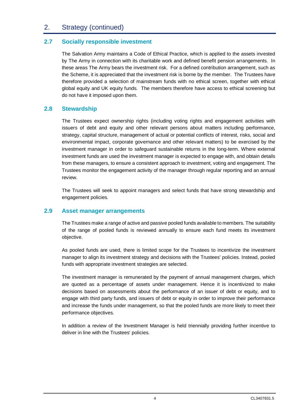# 2. Strategy (continued)

# **2.7 Socially responsible investment**

The Salvation Army maintains a Code of Ethical Practice, which is applied to the assets invested by The Army in connection with its charitable work and defined benefit pension arrangements. In these areas The Army bears the investment risk. For a defined contribution arrangement, such as the Scheme, it is appreciated that the investment risk is borne by the member. The Trustees have therefore provided a selection of mainstream funds with no ethical screen, together with ethical global equity and UK equity funds. The members therefore have access to ethical screening but do not have it imposed upon them.

# **2.8 Stewardship**

The Trustees expect ownership rights (including voting rights and engagement activities with issuers of debt and equity and other relevant persons about matters including performance, strategy, capital structure, management of actual or potential conflicts of interest, risks, social and environmental impact, corporate governance and other relevant matters) to be exercised by the investment manager in order to safeguard sustainable returns in the long-term. Where external investment funds are used the investment manager is expected to engage with, and obtain details from these managers, to ensure a consistent approach to investment, voting and engagement. The Trustees monitor the engagement activity of the manager through regular reporting and an annual review.

The Trustees will seek to appoint managers and select funds that have strong stewardship and engagement policies.

# **2.9 Asset manager arrangements**

The Trustees make a range of active and passive pooled funds available to members. The suitability of the range of pooled funds is reviewed annually to ensure each fund meets its investment objective.

As pooled funds are used, there is limited scope for the Trustees to incentivize the investment manager to align its investment strategy and decisions with the Trustees' policies. Instead, pooled funds with appropriate investment strategies are selected.

The investment manager is remunerated by the payment of annual management charges, which are quoted as a percentage of assets under management. Hence it is incentivized to make decisions based on assessments about the performance of an issuer of debt or equity, and to engage with third party funds, and issuers of debt or equity in order to improve their performance and increase the funds under management, so that the pooled funds are more likely to meet their performance objectives.

In addition a review of the Investment Manager is held triennially providing further incentive to deliver in line with the Trustees' policies.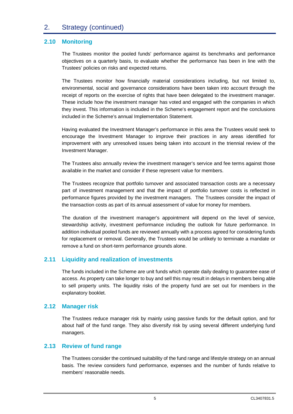# 2. Strategy (continued)

# **2.10 Monitoring**

The Trustees monitor the pooled funds' performance against its benchmarks and performance objectives on a quarterly basis, to evaluate whether the performance has been in line with the Trustees' policies on risks and expected returns.

The Trustees monitor how financially material considerations including, but not limited to, environmental, social and governance considerations have been taken into account through the receipt of reports on the exercise of rights that have been delegated to the investment manager. These include how the investment manager has voted and engaged with the companies in which they invest. This information is included in the Scheme's engagement report and the conclusions included in the Scheme's annual Implementation Statement.

Having evaluated the Investment Manager's performance in this area the Trustees would seek to encourage the Investment Manager to improve their practices in any areas identified for improvement with any unresolved issues being taken into account in the triennial review of the Investment Manager.

The Trustees also annually review the investment manager's service and fee terms against those available in the market and consider if these represent value for members.

The Trustees recognize that portfolio turnover and associated transaction costs are a necessary part of investment management and that the impact of portfolio turnover costs is reflected in performance figures provided by the investment managers. The Trustees consider the impact of the transaction costs as part of its annual assessment of value for money for members.

The duration of the investment manager's appointment will depend on the level of service, stewardship activity, investment performance including the outlook for future performance. In addition individual pooled funds are reviewed annually with a process agreed for considering funds for replacement or removal. Generally, the Trustees would be unlikely to terminate a mandate or remove a fund on short-term performance grounds alone.

# **2.11 Liquidity and realization of investments**

The funds included in the Scheme are unit funds which operate daily dealing to guarantee ease of access. As property can take longer to buy and sell this may result in delays in members being able to sell property units. The liquidity risks of the property fund are set out for members in the explanatory booklet.

#### **2.12 Manager risk**

The Trustees reduce manager risk by mainly using passive funds for the default option, and for about half of the fund range. They also diversify risk by using several different underlying fund managers.

#### **2.13 Review of fund range**

The Trustees consider the continued suitability of the fund range and lifestyle strategy on an annual basis. The review considers fund performance, expenses and the number of funds relative to members' reasonable needs.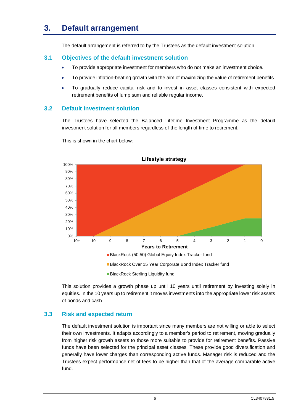# **3. Default arrangement**

The default arrangement is referred to by the Trustees as the default investment solution.

# **3.1 Objectives of the default investment solution**

- · To provide appropriate investment for members who do not make an investment choice.
- · To provide inflation-beating growth with the aim of maximizing the value of retirement benefits.
- · To gradually reduce capital risk and to invest in asset classes consistent with expected retirement benefits of lump sum and reliable regular income.

# **3.2 Default investment solution**

The Trustees have selected the Balanced Lifetime Investment Programme as the default investment solution for all members regardless of the length of time to retirement.



This is shown in the chart below:

This solution provides a growth phase up until 10 years until retirement by investing solely in equities. In the 10 years up to retirement it moves investments into the appropriate lower risk assets of bonds and cash.

# **3.3 Risk and expected return**

The default investment solution is important since many members are not willing or able to select their own investments. It adapts accordingly to a member's period to retirement, moving gradually from higher risk growth assets to those more suitable to provide for retirement benefits. Passive funds have been selected for the principal asset classes. These provide good diversification and generally have lower charges than corresponding active funds. Manager risk is reduced and the Trustees expect performance net of fees to be higher than that of the average comparable active fund.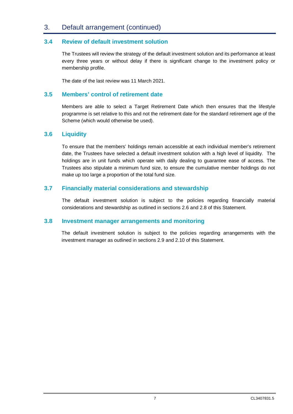# 3. Default arrangement (continued)

# **3.4 Review of default investment solution**

The Trustees will review the strategy of the default investment solution and its performance at least every three years or without delay if there is significant change to the investment policy or membership profile.

The date of the last review was 11 March 2021.

## **3.5 Members' control of retirement date**

Members are able to select a Target Retirement Date which then ensures that the lifestyle programme is set relative to this and not the retirement date for the standard retirement age of the Scheme (which would otherwise be used).

### **3.6 Liquidity**

To ensure that the members' holdings remain accessible at each individual member's retirement date, the Trustees have selected a default investment solution with a high level of liquidity. The holdings are in unit funds which operate with daily dealing to guarantee ease of access. The Trustees also stipulate a minimum fund size, to ensure the cumulative member holdings do not make up too large a proportion of the total fund size.

### **3.7 Financially material considerations and stewardship**

The default investment solution is subject to the policies regarding financially material considerations and stewardship as outlined in sections 2.6 and 2.8 of this Statement.

#### **3.8 Investment manager arrangements and monitoring**

The default investment solution is subject to the policies regarding arrangements with the investment manager as outlined in sections 2.9 and 2.10 of this Statement.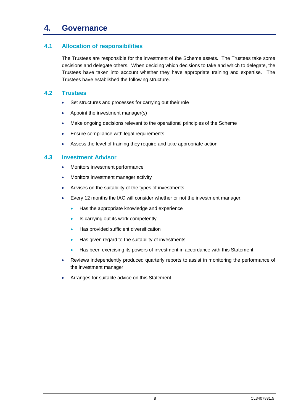# **4. Governance**

# **4.1 Allocation of responsibilities**

The Trustees are responsible for the investment of the Scheme assets. The Trustees take some decisions and delegate others. When deciding which decisions to take and which to delegate, the Trustees have taken into account whether they have appropriate training and expertise. The Trustees have established the following structure.

# **4.2 Trustees**

- · Set structures and processes for carrying out their role
- Appoint the investment manager(s)
- · Make ongoing decisions relevant to the operational principles of the Scheme
- Ensure compliance with legal requirements
- · Assess the level of training they require and take appropriate action

# **4.3 Investment Advisor**

- · Monitors investment performance
- · Monitors investment manager activity
- Advises on the suitability of the types of investments
- Every 12 months the IAC will consider whether or not the investment manager:
	- · Has the appropriate knowledge and experience
	- · Is carrying out its work competently
	- · Has provided sufficient diversification
	- Has given regard to the suitability of investments
	- Has been exercising its powers of investment in accordance with this Statement
- Reviews independently produced quarterly reports to assist in monitoring the performance of the investment manager
- Arranges for suitable advice on this Statement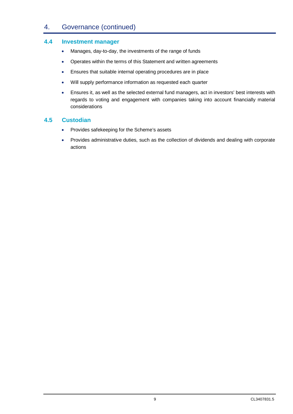# 4. Governance (continued)

### **4.4 Investment manager**

- · Manages, day-to-day, the investments of the range of funds
- · Operates within the terms of this Statement and written agreements
- · Ensures that suitable internal operating procedures are in place
- · Will supply performance information as requested each quarter
- · Ensures it, as well as the selected external fund managers, act in investors' best interests with regards to voting and engagement with companies taking into account financially material considerations

# **4.5 Custodian**

- · Provides safekeeping for the Scheme's assets
- · Provides administrative duties, such as the collection of dividends and dealing with corporate actions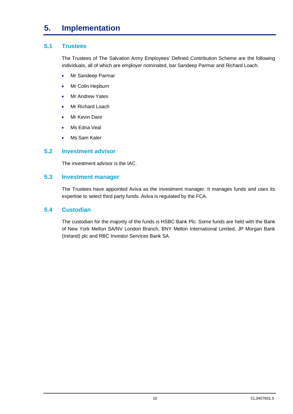# **5. Implementation**

# **5.1 Trustees**

The Trustees of The Salvation Army Employees' Defined Contribution Scheme are the following individuals, all of which are employer nominated, bar Sandeep Parmar and Richard Loach.

- · Mr Sandeep Parmar
- · Mr Colin Hepburn
- Mr Andrew Yates
- · Mr Richard Loach
- Mr Kevin Dare
- · Ms Edna Veal
- Ms Sam Kaler

### **5.2 Investment advisor**

The investment advisor is the IAC.

#### **5.3 Investment manager**

The Trustees have appointed Aviva as the investment manager. It manages funds and uses its expertise to select third party funds. Aviva is regulated by the FCA.

## **5.4 Custodian**

The custodian for the majority of the funds is HSBC Bank Plc. Some funds are held with the Bank of New York Mellon SA/NV London Branch, BNY Mellon International Limited, JP Morgan Bank (Ireland) plc and RBC Investor Services Bank SA.